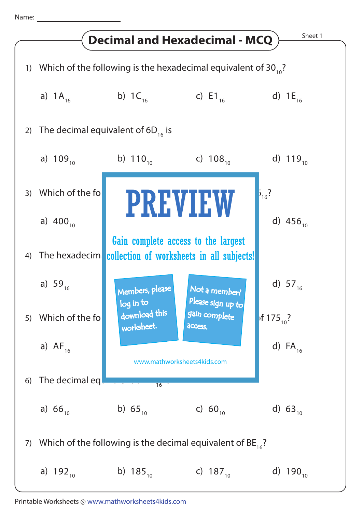Name: